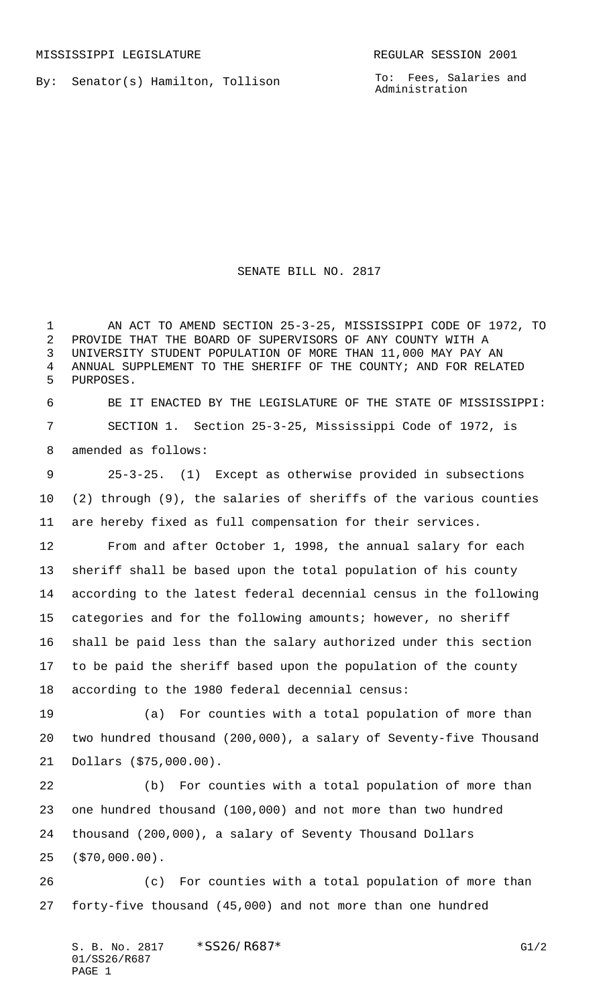By: Senator(s) Hamilton, Tollison

To: Fees, Salaries and Administration

SENATE BILL NO. 2817

 AN ACT TO AMEND SECTION 25-3-25, MISSISSIPPI CODE OF 1972, TO PROVIDE THAT THE BOARD OF SUPERVISORS OF ANY COUNTY WITH A UNIVERSITY STUDENT POPULATION OF MORE THAN 11,000 MAY PAY AN ANNUAL SUPPLEMENT TO THE SHERIFF OF THE COUNTY; AND FOR RELATED PURPOSES. BE IT ENACTED BY THE LEGISLATURE OF THE STATE OF MISSISSIPPI: SECTION 1. Section 25-3-25, Mississippi Code of 1972, is

amended as follows:

 25-3-25. (1) Except as otherwise provided in subsections (2) through (9), the salaries of sheriffs of the various counties are hereby fixed as full compensation for their services.

 From and after October 1, 1998, the annual salary for each sheriff shall be based upon the total population of his county according to the latest federal decennial census in the following categories and for the following amounts; however, no sheriff shall be paid less than the salary authorized under this section to be paid the sheriff based upon the population of the county according to the 1980 federal decennial census:

 (a) For counties with a total population of more than two hundred thousand (200,000), a salary of Seventy-five Thousand Dollars (\$75,000.00).

 (b) For counties with a total population of more than one hundred thousand (100,000) and not more than two hundred thousand (200,000), a salary of Seventy Thousand Dollars (\$70,000.00).

 (c) For counties with a total population of more than forty-five thousand (45,000) and not more than one hundred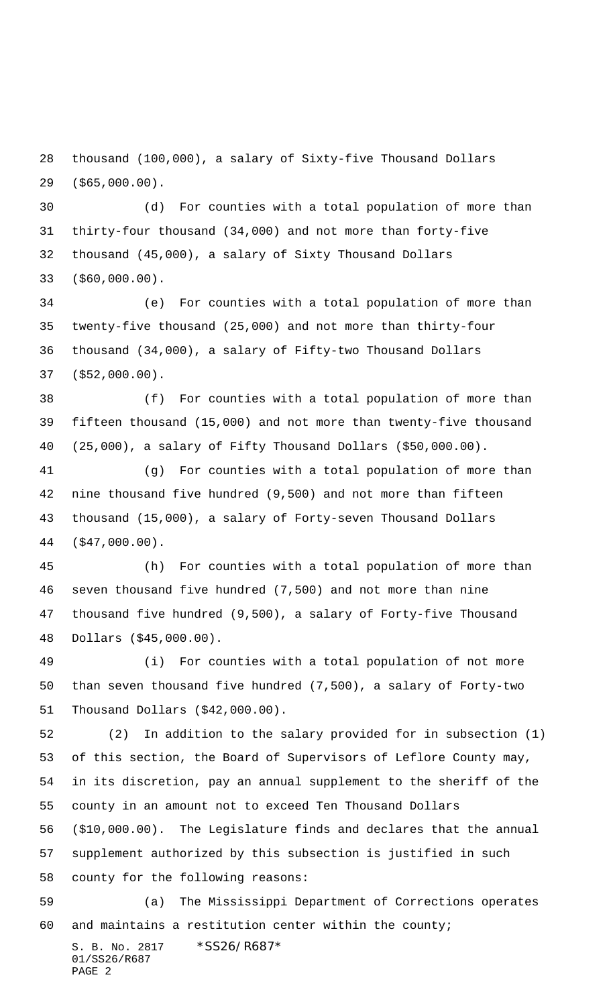thousand (100,000), a salary of Sixty-five Thousand Dollars (\$65,000.00).

 (d) For counties with a total population of more than thirty-four thousand (34,000) and not more than forty-five thousand (45,000), a salary of Sixty Thousand Dollars (\$60,000.00).

 (e) For counties with a total population of more than twenty-five thousand (25,000) and not more than thirty-four thousand (34,000), a salary of Fifty-two Thousand Dollars (\$52,000.00).

 (f) For counties with a total population of more than fifteen thousand (15,000) and not more than twenty-five thousand (25,000), a salary of Fifty Thousand Dollars (\$50,000.00).

 (g) For counties with a total population of more than nine thousand five hundred (9,500) and not more than fifteen thousand (15,000), a salary of Forty-seven Thousand Dollars (\$47,000.00).

 (h) For counties with a total population of more than seven thousand five hundred (7,500) and not more than nine thousand five hundred (9,500), a salary of Forty-five Thousand Dollars (\$45,000.00).

 (i) For counties with a total population of not more than seven thousand five hundred (7,500), a salary of Forty-two Thousand Dollars (\$42,000.00).

 (2) In addition to the salary provided for in subsection (1) of this section, the Board of Supervisors of Leflore County may, in its discretion, pay an annual supplement to the sheriff of the county in an amount not to exceed Ten Thousand Dollars

 (\$10,000.00). The Legislature finds and declares that the annual supplement authorized by this subsection is justified in such county for the following reasons:

 (a) The Mississippi Department of Corrections operates and maintains a restitution center within the county;

S. B. No. 2817 \*SS26/R687\* 01/SS26/R687 PAGE 2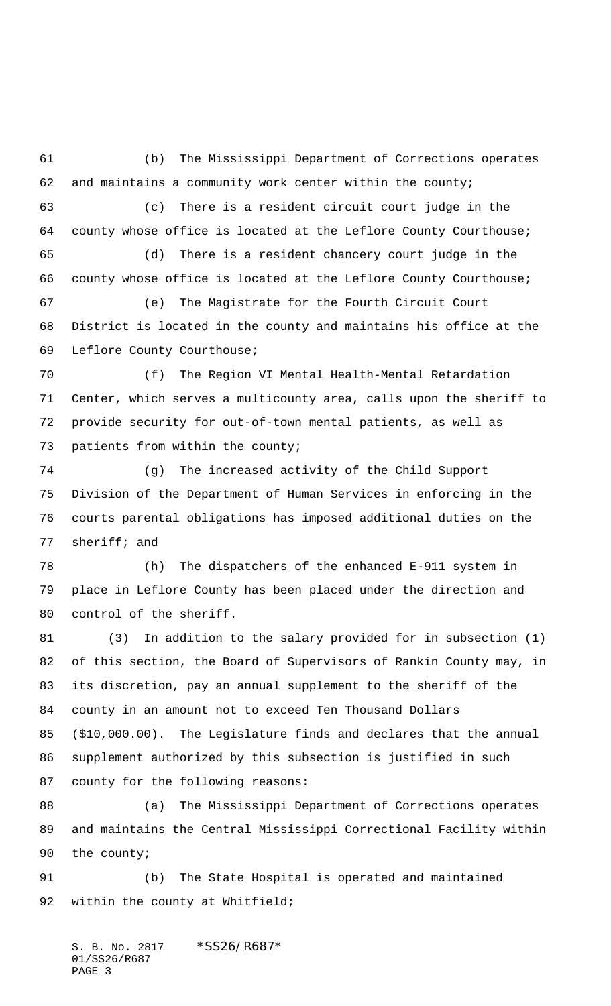(b) The Mississippi Department of Corrections operates and maintains a community work center within the county; (c) There is a resident circuit court judge in the county whose office is located at the Leflore County Courthouse; (d) There is a resident chancery court judge in the county whose office is located at the Leflore County Courthouse; (e) The Magistrate for the Fourth Circuit Court District is located in the county and maintains his office at the Leflore County Courthouse; (f) The Region VI Mental Health-Mental Retardation Center, which serves a multicounty area, calls upon the sheriff to provide security for out-of-town mental patients, as well as patients from within the county; (g) The increased activity of the Child Support Division of the Department of Human Services in enforcing in the courts parental obligations has imposed additional duties on the sheriff; and (h) The dispatchers of the enhanced E-911 system in place in Leflore County has been placed under the direction and control of the sheriff. (3) In addition to the salary provided for in subsection (1) of this section, the Board of Supervisors of Rankin County may, in its discretion, pay an annual supplement to the sheriff of the

 county in an amount not to exceed Ten Thousand Dollars (\$10,000.00). The Legislature finds and declares that the annual supplement authorized by this subsection is justified in such county for the following reasons:

 (a) The Mississippi Department of Corrections operates and maintains the Central Mississippi Correctional Facility within the county;

 (b) The State Hospital is operated and maintained 92 within the county at Whitfield;

S. B. No. 2817 \* SS26/R687\* 01/SS26/R687 PAGE 3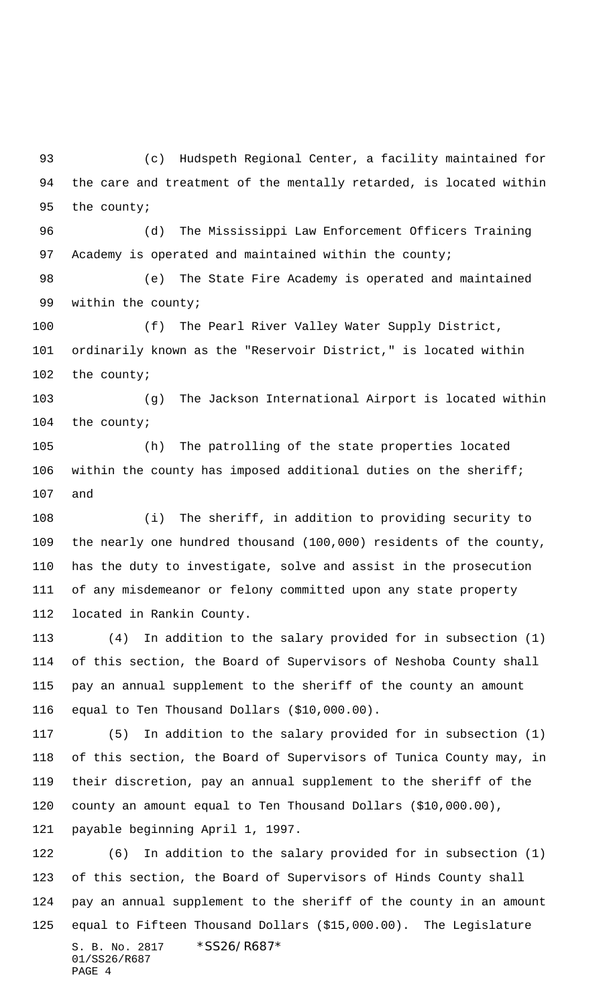(c) Hudspeth Regional Center, a facility maintained for the care and treatment of the mentally retarded, is located within the county;

 (d) The Mississippi Law Enforcement Officers Training 97 Academy is operated and maintained within the county;

 (e) The State Fire Academy is operated and maintained within the county;

 (f) The Pearl River Valley Water Supply District, ordinarily known as the "Reservoir District," is located within the county;

 (g) The Jackson International Airport is located within the county;

 (h) The patrolling of the state properties located within the county has imposed additional duties on the sheriff; and

 (i) The sheriff, in addition to providing security to the nearly one hundred thousand (100,000) residents of the county, has the duty to investigate, solve and assist in the prosecution of any misdemeanor or felony committed upon any state property located in Rankin County.

 (4) In addition to the salary provided for in subsection (1) of this section, the Board of Supervisors of Neshoba County shall pay an annual supplement to the sheriff of the county an amount equal to Ten Thousand Dollars (\$10,000.00).

 (5) In addition to the salary provided for in subsection (1) of this section, the Board of Supervisors of Tunica County may, in their discretion, pay an annual supplement to the sheriff of the county an amount equal to Ten Thousand Dollars (\$10,000.00), payable beginning April 1, 1997.

S. B. No. 2817 \* SS26/R687\* 01/SS26/R687 PAGE 4 (6) In addition to the salary provided for in subsection (1) of this section, the Board of Supervisors of Hinds County shall pay an annual supplement to the sheriff of the county in an amount equal to Fifteen Thousand Dollars (\$15,000.00). The Legislature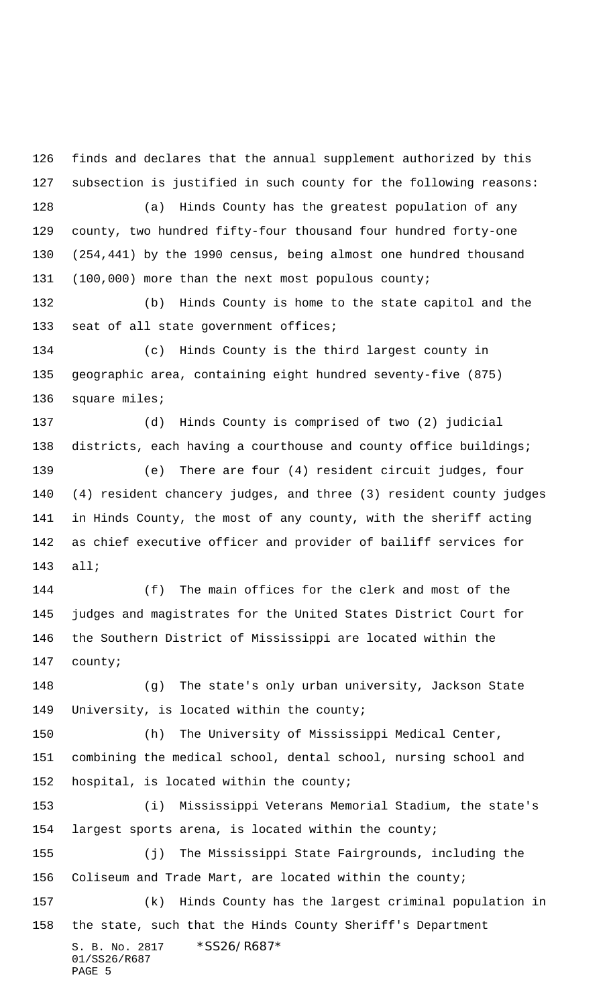S. B. No. 2817 \* SS26/R687\* 01/SS26/R687 finds and declares that the annual supplement authorized by this subsection is justified in such county for the following reasons: (a) Hinds County has the greatest population of any county, two hundred fifty-four thousand four hundred forty-one (254,441) by the 1990 census, being almost one hundred thousand 131 (100,000) more than the next most populous county; (b) Hinds County is home to the state capitol and the 133 seat of all state government offices; (c) Hinds County is the third largest county in geographic area, containing eight hundred seventy-five (875) 136 square miles; (d) Hinds County is comprised of two (2) judicial 138 districts, each having a courthouse and county office buildings; (e) There are four (4) resident circuit judges, four (4) resident chancery judges, and three (3) resident county judges in Hinds County, the most of any county, with the sheriff acting as chief executive officer and provider of bailiff services for all; (f) The main offices for the clerk and most of the judges and magistrates for the United States District Court for the Southern District of Mississippi are located within the county; (g) The state's only urban university, Jackson State University, is located within the county; (h) The University of Mississippi Medical Center, combining the medical school, dental school, nursing school and hospital, is located within the county; (i) Mississippi Veterans Memorial Stadium, the state's largest sports arena, is located within the county; (j) The Mississippi State Fairgrounds, including the Coliseum and Trade Mart, are located within the county; (k) Hinds County has the largest criminal population in the state, such that the Hinds County Sheriff's Department

PAGE 5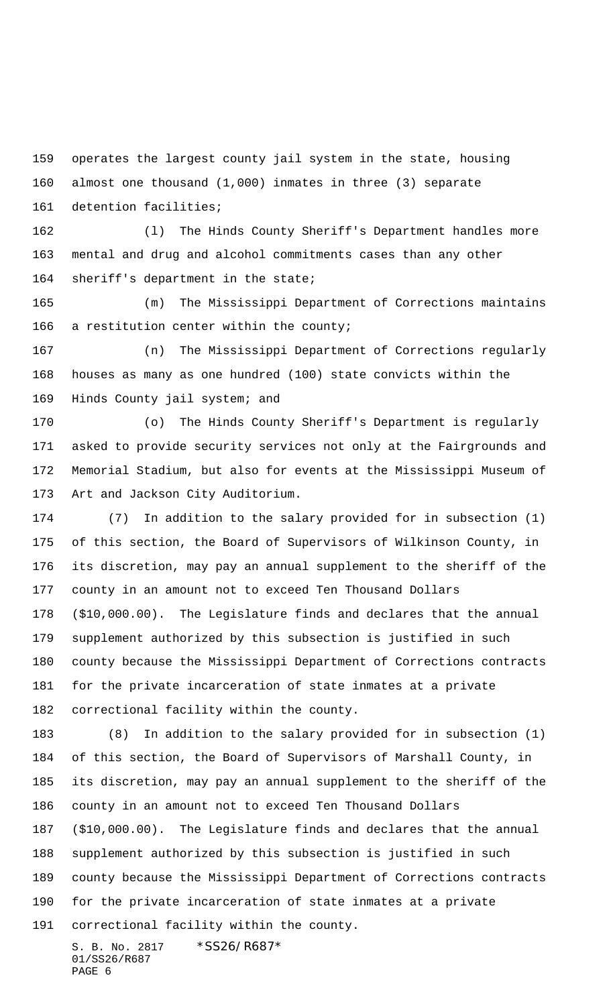operates the largest county jail system in the state, housing almost one thousand (1,000) inmates in three (3) separate

detention facilities;

 (l) The Hinds County Sheriff's Department handles more mental and drug and alcohol commitments cases than any other sheriff's department in the state;

 (m) The Mississippi Department of Corrections maintains 166 a restitution center within the county;

 (n) The Mississippi Department of Corrections regularly houses as many as one hundred (100) state convicts within the Hinds County jail system; and

 (o) The Hinds County Sheriff's Department is regularly asked to provide security services not only at the Fairgrounds and Memorial Stadium, but also for events at the Mississippi Museum of Art and Jackson City Auditorium.

 (7) In addition to the salary provided for in subsection (1) of this section, the Board of Supervisors of Wilkinson County, in its discretion, may pay an annual supplement to the sheriff of the county in an amount not to exceed Ten Thousand Dollars (\$10,000.00). The Legislature finds and declares that the annual supplement authorized by this subsection is justified in such county because the Mississippi Department of Corrections contracts for the private incarceration of state inmates at a private correctional facility within the county.

 (8) In addition to the salary provided for in subsection (1) of this section, the Board of Supervisors of Marshall County, in its discretion, may pay an annual supplement to the sheriff of the county in an amount not to exceed Ten Thousand Dollars (\$10,000.00). The Legislature finds and declares that the annual supplement authorized by this subsection is justified in such

 county because the Mississippi Department of Corrections contracts for the private incarceration of state inmates at a private

correctional facility within the county.

S. B. No. 2817 \* SS26/R687\* 01/SS26/R687 PAGE 6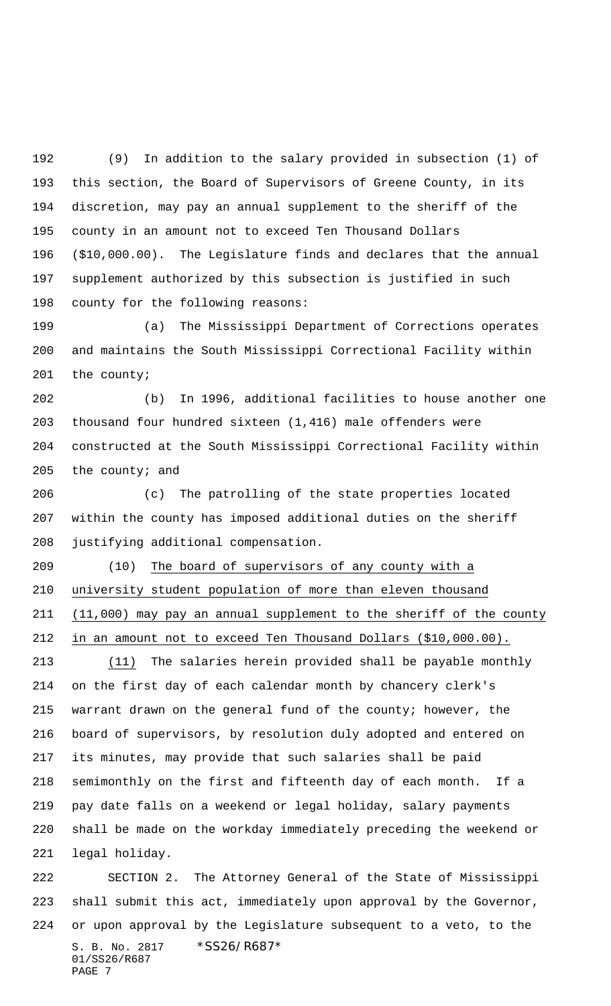(9) In addition to the salary provided in subsection (1) of this section, the Board of Supervisors of Greene County, in its discretion, may pay an annual supplement to the sheriff of the county in an amount not to exceed Ten Thousand Dollars (\$10,000.00). The Legislature finds and declares that the annual supplement authorized by this subsection is justified in such county for the following reasons:

 (a) The Mississippi Department of Corrections operates and maintains the South Mississippi Correctional Facility within the county;

 (b) In 1996, additional facilities to house another one thousand four hundred sixteen (1,416) male offenders were constructed at the South Mississippi Correctional Facility within 205 the county; and

 (c) The patrolling of the state properties located within the county has imposed additional duties on the sheriff justifying additional compensation.

 (10) The board of supervisors of any county with a university student population of more than eleven thousand (11,000) may pay an annual supplement to the sheriff of the county in an amount not to exceed Ten Thousand Dollars (\$10,000.00).

 (11) The salaries herein provided shall be payable monthly on the first day of each calendar month by chancery clerk's warrant drawn on the general fund of the county; however, the board of supervisors, by resolution duly adopted and entered on its minutes, may provide that such salaries shall be paid semimonthly on the first and fifteenth day of each month. If a pay date falls on a weekend or legal holiday, salary payments shall be made on the workday immediately preceding the weekend or legal holiday.

S. B. No. 2817 \* SS26/R687\* 01/SS26/R687 PAGE 7 SECTION 2. The Attorney General of the State of Mississippi shall submit this act, immediately upon approval by the Governor, or upon approval by the Legislature subsequent to a veto, to the